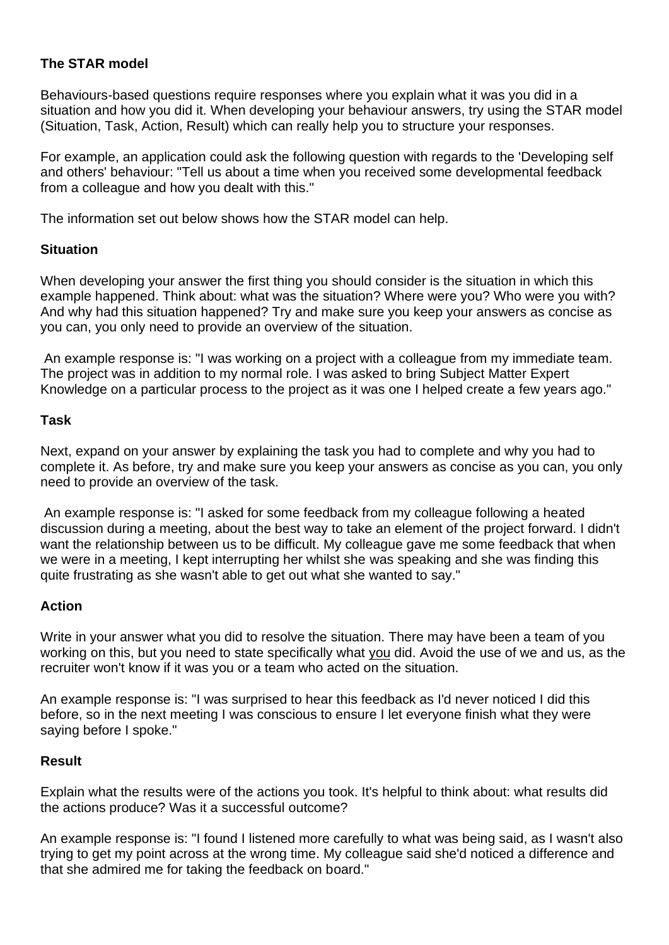# **The STAR model**

Behaviours-based questions require responses where you explain what it was you did in a situation and how you did it. When developing your behaviour answers, try using the STAR model (Situation, Task, Action, Result) which can really help you to structure your responses.

For example, an application could ask the following question with regards to the 'Developing self and others' behaviour: "Tell us about a time when you received some developmental feedback from a colleague and how you dealt with this."

The information set out below shows how the STAR model can help.

### **Situation**

When developing your answer the first thing you should consider is the situation in which this example happened. Think about: what was the situation? Where were you? Who were you with? And why had this situation happened? Try and make sure you keep your answers as concise as you can, you only need to provide an overview of the situation.

An example response is: "I was working on a project with a colleague from my immediate team. The project was in addition to my normal role. I was asked to bring Subject Matter Expert Knowledge on a particular process to the project as it was one I helped create a few years ago."

### **Task**

Next, expand on your answer by explaining the task you had to complete and why you had to complete it. As before, try and make sure you keep your answers as concise as you can, you only need to provide an overview of the task.

An example response is: "I asked for some feedback from my colleague following a heated discussion during a meeting, about the best way to take an element of the project forward. I didn't want the relationship between us to be difficult. My colleague gave me some feedback that when we were in a meeting, I kept interrupting her whilst she was speaking and she was finding this quite frustrating as she wasn't able to get out what she wanted to say."

# **Action**

Write in your answer what you did to resolve the situation. There may have been a team of you working on this, but you need to state specifically what you did. Avoid the use of we and us, as the recruiter won't know if it was you or a team who acted on the situation.

An example response is: "I was surprised to hear this feedback as I'd never noticed I did this before, so in the next meeting I was conscious to ensure I let everyone finish what they were saying before I spoke."

# **Result**

Explain what the results were of the actions you took. It's helpful to think about: what results did the actions produce? Was it a successful outcome?

An example response is: "I found I listened more carefully to what was being said, as I wasn't also trying to get my point across at the wrong time. My colleague said she'd noticed a difference and that she admired me for taking the feedback on board."